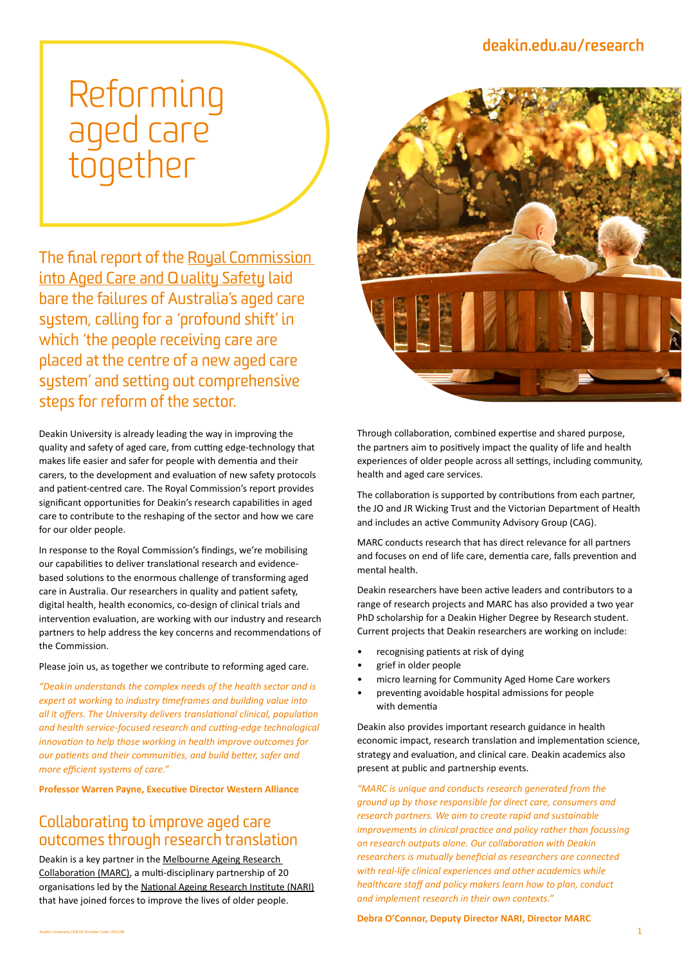# **[deakin.edu.au/research](http://deakin.edu.au/research)**

# Reforming aged care together

The final report of the [Royal Commission](https://agedcare.royalcommission.gov.au/)  [into Aged Care and Quality Safety](https://agedcare.royalcommission.gov.au/) laid bare the failures of Australia's aged care system, calling for a 'profound shift' in which 'the people receiving care are placed at the centre of a new aged care system' and setting out comprehensive steps for reform of the sector.

Deakin University is already leading the way in improving the quality and safety of aged care, from cutting edge-technology that makes life easier and safer for people with dementia and their carers, to the development and evaluation of new safety protocols and patient-centred care. The Royal Commission's report provides significant opportunities for Deakin's research capabilities in aged care to contribute to the reshaping of the sector and how we care for our older people.

In response to the Royal Commission's findings, we're mobilising our capabilities to deliver translational research and evidencebased solutions to the enormous challenge of transforming aged care in Australia. Our researchers in quality and patient safety, digital health, health economics, co-design of clinical trials and intervention evaluation, are working with our industry and research partners to help address the key concerns and recommendations of the Commission.

Please join us, as together we contribute to reforming aged care.

*"Deakin understands the complex needs of the health sector and is expert at working to industry timeframes and building value into all it offers. The University delivers translational clinical, population and health service-focused research and cutting-edge technological innovation to help those working in health improve outcomes for our patients and their communities, and build better, safer and more efficient systems of care."* 

**Professor Warren Payne, Executive Director Western Alliance**

# Collaborating to improve aged care outcomes through research translation

Deakin is a key partner in the [Melbourne Ageing Research](https://www.nari.net.au/marc)  [Collaboration \(MARC\)](https://www.nari.net.au/marc), a multi-disciplinary partnership of 20 organisations led by the [National Ageing Research Institute \(NARI\)](https://www.nari.net.au/) that have joined forces to improve the lives of older people.



Through collaboration, combined expertise and shared purpose, the partners aim to positively impact the quality of life and health experiences of older people across all settings, including community, health and aged care services.

The collaboration is supported by contributions from each partner, the JO and JR Wicking Trust and the Victorian Department of Health and includes an active Community Advisory Group (CAG).

MARC conducts research that has direct relevance for all partners and focuses on end of life care, dementia care, falls prevention and mental health.

Deakin researchers have been active leaders and contributors to a range of research projects and MARC has also provided a two year PhD scholarship for a Deakin Higher Degree by Research student. Current projects that Deakin researchers are working on include:

- recognising patients at risk of dying
- grief in older people
- micro learning for Community Aged Home Care workers
- preventing avoidable hospital admissions for people with dementia

Deakin also provides important research guidance in health economic impact, research translation and implementation science, strategy and evaluation, and clinical care. Deakin academics also present at public and partnership events.

*"MARC is unique and conducts research generated from the ground up by those responsible for direct care, consumers and research partners. We aim to create rapid and sustainable improvements in clinical practice and policy rather than focussing on research outputs alone. Our collaboration with Deakin researchers is mutually beneficial as researchers are connected with real-life clinical experiences and other academics while healthcare staff and policy makers learn how to plan, conduct and implement research in their own contexts."*

**Debra O'Connor, Deputy Director NARI, Director MARC**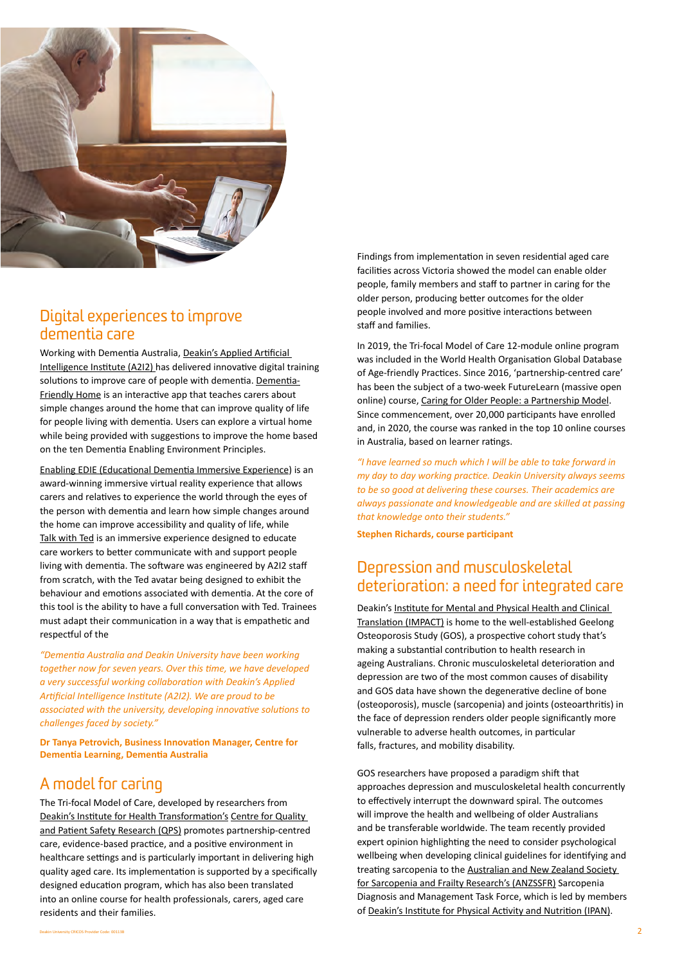

# Digital experiences to improve dementia care

Working with Dementia Australia, D[eakin's Applied Artificial](https://a2i2.deakin.edu.au/)  [Intelligence Institute \(A2I2\) h](https://a2i2.deakin.edu.au/)as delivered innovative digital training solutions to improve care of people with dementia. [Dementia-](https://www.dementia.org.au/information/resources/technology/dementia-friendly-home-app)[Friendly Home](https://www.dementia.org.au/information/resources/technology/dementia-friendly-home-app) is an interactive app that teaches carers about simple changes around the home that can improve quality of life for people living with dementia. Users can explore a virtual home while being provided with suggestions to improve the home based on the ten Dementia Enabling Environment Principles.

[Enabling EDIE \(Educational Dementia Immersive Experience](https://www.dementia.org.au/resources/edie-educational-dementia-immersive-experience)) is an award-winning immersive virtual reality experience that allows carers and relatives to experience the world through the eyes of the person with dementia and learn how simple changes around the home can improve accessibility and quality of life, while [Talk with Ted](https://www.dementia.org.au/information/resources/technology/talk-with-ted) is an immersive experience designed to educate care workers to better communicate with and support people living with dementia. The software was engineered by A2I2 staff from scratch, with the Ted avatar being designed to exhibit the behaviour and emotions associated with dementia. At the core of this tool is the ability to have a full conversation with Ted. Trainees must adapt their communication in a way that is empathetic and respectful of the

*"Dementia Australia and Deakin University have been working together now for seven years. Over this time, we have developed a very successful working collaboration with Deakin's Applied Artificial Intelligence Institute (A2I2). We are proud to be associated with the university, developing innovative solutions to challenges faced by society."* 

**Dr Tanya Petrovich, Business Innovation Manager, Centre for Dementia Learning, Dementia Australia**

# A model for caring

The Tri-focal Model of Care, developed by researchers from [Deakin's Institute for Health Transformation's](https://iht.deakin.edu.au/) Centre for [Quality](https://www.deakin.edu.au/qps)  [and Patient Safety Research \(QPS\)](https://www.deakin.edu.au/qps) promotes partnership-centred care, evidence-based practice, and a positive environment in healthcare settings and is particularly important in delivering high quality aged care. Its implementation is supported by a specifically designed education program, which has also been translated into an online course for health professionals, carers, aged care residents and their families.

Findings from implementation in seven residential aged care facilities across Victoria showed the model can enable older people, family members and staff to partner in caring for the older person, producing better outcomes for the older people involved and more positive interactions between staff and families.

In 2019, the Tri-focal Model of Care 12-module online program was included in the World Health Organisation Global Database of Age-friendly Practices. Since 2016, 'partnership-centred care' has been the subject of a two-week FutureLearn (massive open online) course, [Caring for Older People: a Partnership Model.](https://www.futurelearn.com/courses/older-people) Since commencement, over 20,000 participants have enrolled and, in 2020, the course was ranked in the top 10 online courses in Australia, based on learner ratings.

*"I have learned so much which I will be able to take forward in my day to day working practice. Deakin University always seems to be so good at delivering these courses. Their academics are always passionate and knowledgeable and are skilled at passing that knowledge onto their students."* 

**Stephen Richards, course participant** 

## Depression and musculoskeletal deterioration: a need for integrated care

Deakin's Institute for [Mental and Physical Health and Clinical](https://impact.deakin.edu.au/)  [Translation \(IMPACT\)](https://impact.deakin.edu.au/) is home to the well-established Geelong Osteoporosis Study (GOS), a prospective cohort study that's making a substantial contribution to health research in ageing Australians. Chronic musculoskeletal deterioration and depression are two of the most common causes of disability and GOS data have shown the degenerative decline of bone (osteoporosis), muscle (sarcopenia) and joints (osteoarthritis) in the face of depression renders older people significantly more vulnerable to adverse health outcomes, in particular falls, fractures, and mobility disability.

GOS researchers have proposed a paradigm shift that approaches depression and musculoskeletal health concurrently to effectively interrupt the downward spiral. The outcomes will improve the health and wellbeing of older Australians and be transferable worldwide. The team recently provided expert opinion highlighting the need to consider psychological wellbeing when developing clinical guidelines for identifying and treating sarcopenia to the Australian and New Zealand Society [for Sarcopenia and Frailty Research's \(ANZSSFR\)](https://anzssfr.org/) Sarcopenia Diagnosis and Management Task Force, which is led by members of [Deakin's Institute for Physical Activity and Nutrition \(IPAN\).](https://ipan.deakin.edu.au/)